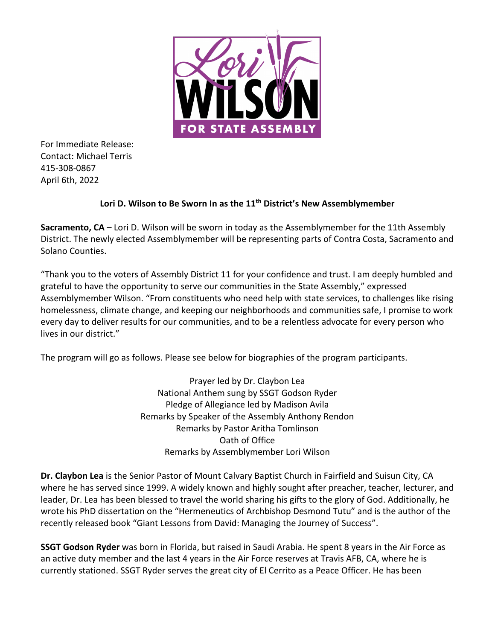

For Immediate Release: Contact: Michael Terris 415-308-0867 April 6th, 2022

## **Lori D. Wilson to Be Sworn In as the 11th District's New Assemblymember**

**Sacramento, CA –** Lori D. Wilson will be sworn in today as the Assemblymember for the 11th Assembly District. The newly elected Assemblymember will be representing parts of Contra Costa, Sacramento and Solano Counties.

"Thank you to the voters of Assembly District 11 for your confidence and trust. I am deeply humbled and grateful to have the opportunity to serve our communities in the State Assembly," expressed Assemblymember Wilson. "From constituents who need help with state services, to challenges like rising homelessness, climate change, and keeping our neighborhoods and communities safe, I promise to work every day to deliver results for our communities, and to be a relentless advocate for every person who lives in our district."

The program will go as follows. Please see below for biographies of the program participants.

Prayer led by Dr. Claybon Lea National Anthem sung by SSGT Godson Ryder Pledge of Allegiance led by Madison Avila Remarks by Speaker of the Assembly Anthony Rendon Remarks by Pastor Aritha Tomlinson Oath of Office Remarks by Assemblymember Lori Wilson

**Dr. Claybon Lea** is the Senior Pastor of Mount Calvary Baptist Church in Fairfield and Suisun City, CA where he has served since 1999. A widely known and highly sought after preacher, teacher, lecturer, and leader, Dr. Lea has been blessed to travel the world sharing his gifts to the glory of God. Additionally, he wrote his PhD dissertation on the "Hermeneutics of Archbishop Desmond Tutu" and is the author of the recently released book "Giant Lessons from David: Managing the Journey of Success".

**SSGT Godson Ryder** was born in Florida, but raised in Saudi Arabia. He spent 8 years in the Air Force as an active duty member and the last 4 years in the Air Force reserves at Travis AFB, CA, where he is currently stationed. SSGT Ryder serves the great city of El Cerrito as a Peace Officer. He has been